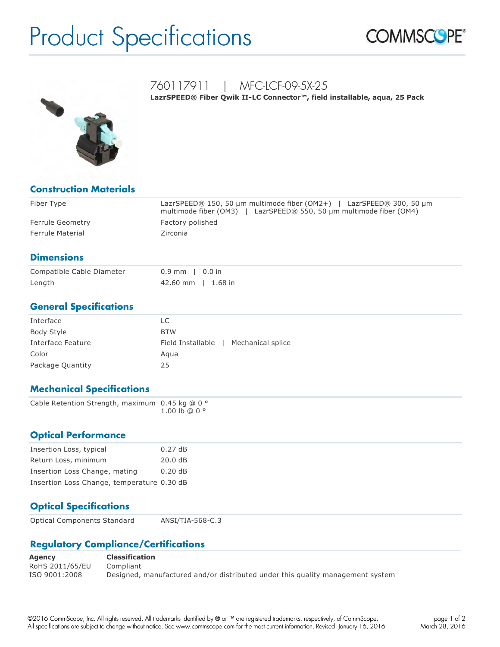# Product Specifications





## 760117911 | MFC-LCF-09-5X-25

LazrSPEED® Fiber Qwik II-LC Connector™, field installable, aqua, 25 Pack

| <b>Construction Materials</b> |                                                                                                                                             |
|-------------------------------|---------------------------------------------------------------------------------------------------------------------------------------------|
| Fiber Type                    | LazrSPEED® 150, 50 µm multimode fiber (OM2+)   LazrSPEED® 300, 50 µm<br>multimode fiber (OM3)   LazrSPEED® 550, 50 µm multimode fiber (OM4) |
| Ferrule Geometry              | Factory polished                                                                                                                            |
| Ferrule Material              | Zirconia                                                                                                                                    |

#### **Dimensions**

| Compatible Cable Diameter | $0.9$ mm   0.0 in    |  |
|---------------------------|----------------------|--|
| Length                    | $42.60$ mm   1.68 in |  |

#### **General Specifications**

| Interface         | LC                                     |
|-------------------|----------------------------------------|
| Body Style        | <b>BTW</b>                             |
| Interface Feature | Field Installable<br>Mechanical splice |
| Color             | Agua                                   |
| Package Quantity  | 25                                     |

### **Mechanical Specifications**

| Cable Retention Strength, maximum $0.45$ kg @ 0 $^{\circ}$ |  |                          |
|------------------------------------------------------------|--|--------------------------|
|                                                            |  | $1.00 \,$ lb @ 0 $\circ$ |

#### **Optical Performance**

| Insertion Loss, typical                    | 0.27dB |
|--------------------------------------------|--------|
| Return Loss, minimum                       | 20.0dB |
| Insertion Loss Change, mating              | 0.20dB |
| Insertion Loss Change, temperature 0.30 dB |        |

### **Optical Specifications**

| <b>Optical Components Standard</b> | ANSI/TIA-568-C.3 |
|------------------------------------|------------------|
|                                    |                  |

#### **Regulatory Compliance/Certifications**

| Agency          | <b>Classification</b>                                                          |
|-----------------|--------------------------------------------------------------------------------|
| RoHS 2011/65/EU | Compliant                                                                      |
| ISO 9001:2008   | Designed, manufactured and/or distributed under this quality management system |